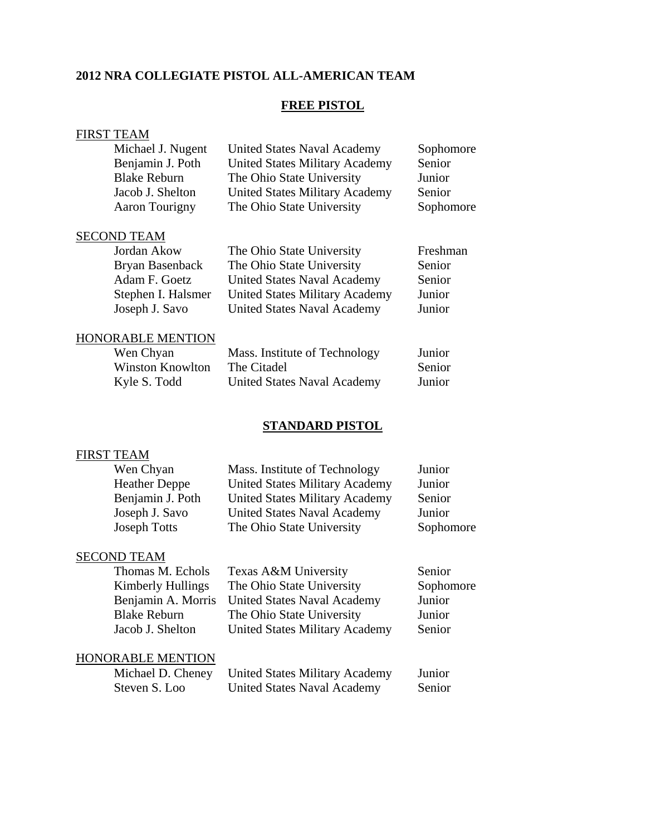## **2012 NRA COLLEGIATE PISTOL ALL-AMERICAN TEAM**

## **FREE PISTOL**

|                          | <b>FIRST TEAM</b>       |                                       |           |
|--------------------------|-------------------------|---------------------------------------|-----------|
|                          | Michael J. Nugent       | United States Naval Academy           | Sophomore |
|                          | Benjamin J. Poth        | <b>United States Military Academy</b> | Senior    |
|                          | <b>Blake Reburn</b>     | The Ohio State University             | Junior    |
|                          | Jacob J. Shelton        | <b>United States Military Academy</b> | Senior    |
|                          | <b>Aaron Tourigny</b>   | The Ohio State University             | Sophomore |
|                          | <b>SECOND TEAM</b>      |                                       |           |
|                          | Jordan Akow             | The Ohio State University             | Freshman  |
|                          | Bryan Basenback         | The Ohio State University             | Senior    |
|                          | Adam F. Goetz           | <b>United States Naval Academy</b>    | Senior    |
|                          | Stephen I. Halsmer      | <b>United States Military Academy</b> | Junior    |
|                          | Joseph J. Savo          | <b>United States Naval Academy</b>    | Junior    |
| <b>HONORABLE MENTION</b> |                         |                                       |           |
|                          | Wen Chyan               | Mass. Institute of Technology         | Junior    |
|                          | <b>Winston Knowlton</b> | The Citadel                           | Senior    |
|                          | Kyle S. Todd            | <b>United States Naval Academy</b>    | Junior    |
|                          |                         |                                       |           |

# **STANDARD PISTOL**

# FIRST TEAM

| Wen Chyan<br><b>Heather Deppe</b>     | Mass. Institute of Technology<br><b>United States Military Academy</b> | Junior<br>Junior    |
|---------------------------------------|------------------------------------------------------------------------|---------------------|
| Benjamin J. Poth                      | <b>United States Military Academy</b>                                  | Senior              |
| Joseph J. Savo<br><b>Joseph Totts</b> | <b>United States Naval Academy</b><br>The Ohio State University        | Junior<br>Sophomore |
|                                       |                                                                        |                     |

## SECOND TEAM

| Thomas M. Echols         | Texas A&M University                  | Senior    |
|--------------------------|---------------------------------------|-----------|
| <b>Kimberly Hullings</b> | The Ohio State University             | Sophomore |
| Benjamin A. Morris       | <b>United States Naval Academy</b>    | Junior    |
| <b>Blake Reburn</b>      | The Ohio State University             | Junior    |
| Jacob J. Shelton         | <b>United States Military Academy</b> | Senior    |
|                          |                                       |           |
| HONORABLE MENTION        |                                       |           |
| Michael D. Cheney        | <b>United States Military Academy</b> | Junior    |
| Steven S. Loo            | <b>United States Naval Academy</b>    | Senior    |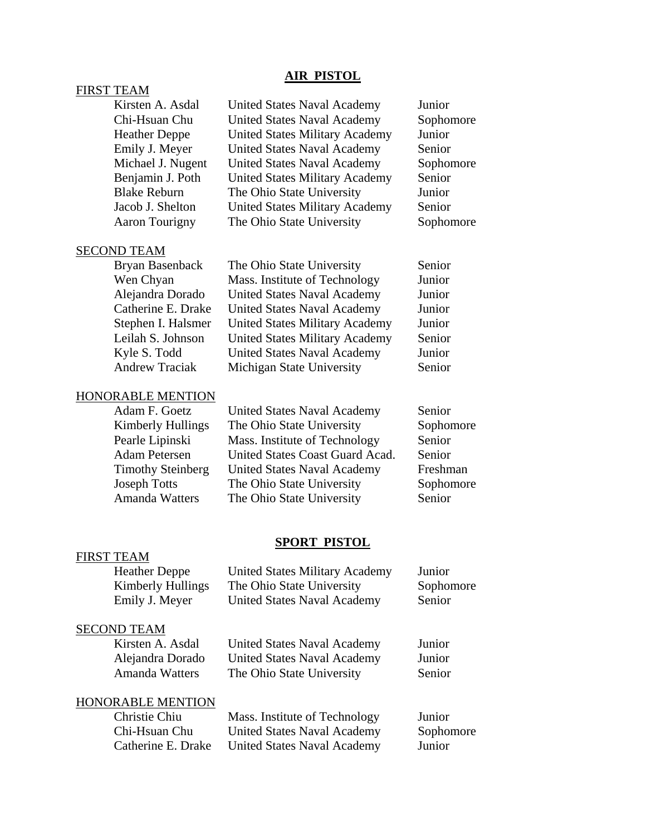## **AIR PISTOL**

## FIRST TEAM

| Kirsten A. Asdal<br>Chi-Hsuan Chu<br><b>Heather Deppe</b><br>Emily J. Meyer<br>Michael J. Nugent<br>Benjamin J. Poth<br><b>Blake Reburn</b><br>Jacob J. Shelton<br>Aaron Tourigny     | <b>United States Naval Academy</b><br><b>United States Naval Academy</b><br><b>United States Military Academy</b><br><b>United States Naval Academy</b><br><b>United States Naval Academy</b><br><b>United States Military Academy</b><br>The Ohio State University<br><b>United States Military Academy</b><br>The Ohio State University | Junior<br>Sophomore<br>Junior<br>Senior<br>Sophomore<br>Senior<br>Junior<br>Senior<br>Sophomore |  |
|---------------------------------------------------------------------------------------------------------------------------------------------------------------------------------------|-------------------------------------------------------------------------------------------------------------------------------------------------------------------------------------------------------------------------------------------------------------------------------------------------------------------------------------------|-------------------------------------------------------------------------------------------------|--|
| <b>SECOND TEAM</b>                                                                                                                                                                    |                                                                                                                                                                                                                                                                                                                                           |                                                                                                 |  |
| <b>Bryan Basenback</b><br>Wen Chyan<br>Alejandra Dorado<br>Catherine E. Drake<br>Stephen I. Halsmer<br>Leilah S. Johnson<br>Kyle S. Todd<br><b>Andrew Traciak</b>                     | The Ohio State University<br>Mass. Institute of Technology<br><b>United States Naval Academy</b><br><b>United States Naval Academy</b><br><b>United States Military Academy</b><br><b>United States Military Academy</b><br><b>United States Naval Academy</b><br>Michigan State University                                               | Senior<br>Junior<br>Junior<br>Junior<br>Junior<br>Senior<br>Junior<br>Senior                    |  |
|                                                                                                                                                                                       |                                                                                                                                                                                                                                                                                                                                           |                                                                                                 |  |
| HONORABLE MENTION<br>Adam F. Goetz<br><b>Kimberly Hullings</b><br>Pearle Lipinski<br><b>Adam Petersen</b><br><b>Timothy Steinberg</b><br><b>Joseph Totts</b><br><b>Amanda Watters</b> | <b>United States Naval Academy</b><br>The Ohio State University<br>Mass. Institute of Technology<br>United States Coast Guard Acad.<br><b>United States Naval Academy</b><br>The Ohio State University<br>The Ohio State University                                                                                                       | Senior<br>Sophomore<br>Senior<br>Senior<br>Freshman<br>Sophomore<br>Senior                      |  |
| <b>SPORT PISTOL</b>                                                                                                                                                                   |                                                                                                                                                                                                                                                                                                                                           |                                                                                                 |  |
| <b>FIRST TEAM</b><br><b>Heather Deppe</b><br><b>Kimberly Hullings</b><br>Emily J. Meyer                                                                                               | <b>United States Military Academy</b><br>The Ohio State University<br><b>United States Naval Academy</b>                                                                                                                                                                                                                                  | Junior<br>Sophomore<br>Senior                                                                   |  |
| <b>SECOND TEAM</b>                                                                                                                                                                    |                                                                                                                                                                                                                                                                                                                                           |                                                                                                 |  |

Kirsten A. Asdal United States Naval Academy Junior<br>Alejandra Dorado United States Naval Academy Junior United States Naval Academy Amanda Watters The Ohio State University Senior

HONORABLE MENTION<br>Christie Chiu

Mass. Institute of Technology Junior Chi-Hsuan Chu United States Naval Academy Sophomore<br>
Catherine E. Drake United States Naval Academy Junior Catherine E. Drake United States Naval Academy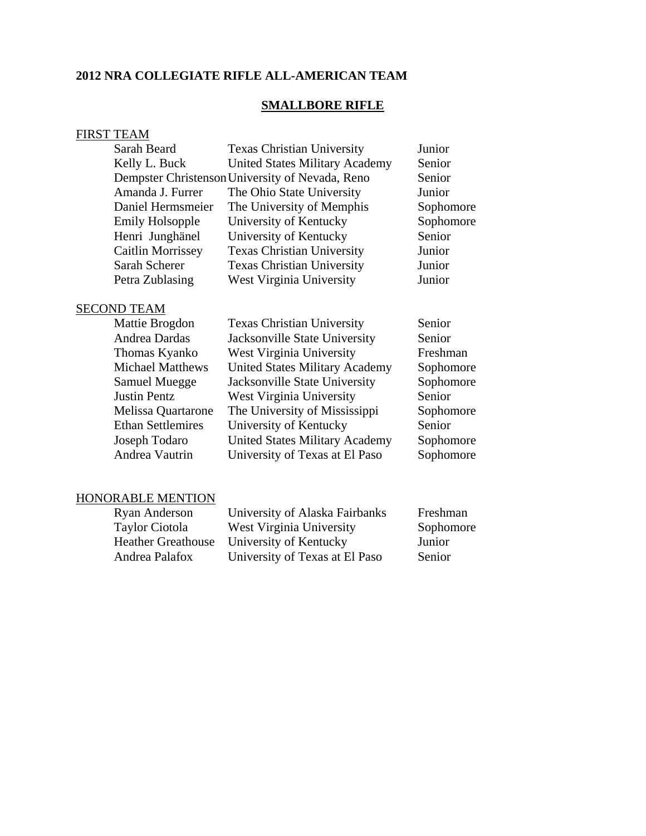## **2012 NRA COLLEGIATE RIFLE ALL-AMERICAN TEAM**

## **SMALLBORE RIFLE**

### FIRST TEAM

| Sarah Beard              | <b>Texas Christian University</b>               | Junior    |
|--------------------------|-------------------------------------------------|-----------|
| Kelly L. Buck            | <b>United States Military Academy</b>           | Senior    |
|                          | Dempster Christenson University of Nevada, Reno | Senior    |
| Amanda J. Furrer         | The Ohio State University                       | Junior    |
| Daniel Hermsmeier        | The University of Memphis                       | Sophomore |
| <b>Emily Holsopple</b>   | University of Kentucky                          | Sophomore |
| Henri Junghänel          | University of Kentucky                          | Senior    |
| <b>Caitlin Morrissey</b> | <b>Texas Christian University</b>               | Junior    |
| Sarah Scherer            | <b>Texas Christian University</b>               | Junior    |
| Petra Zublasing          | West Virginia University                        | Junior    |
|                          |                                                 |           |

## SECOND TEAM

| Mattie Brogdon            | <b>Texas Christian University</b>     | Senior    |
|---------------------------|---------------------------------------|-----------|
| Andrea Dardas             | Jacksonville State University         | Senior    |
| Thomas Kyanko             | West Virginia University              | Freshman  |
| <b>Michael Matthews</b>   | <b>United States Military Academy</b> | Sophomore |
| <b>Samuel Muegge</b>      | Jacksonville State University         | Sophomore |
| <b>Justin Pentz</b>       | West Virginia University              | Senior    |
| <b>Melissa Quartarone</b> | The University of Mississippi         | Sophomore |
| <b>Ethan Settlemires</b>  | University of Kentucky                | Senior    |
| Joseph Todaro             | <b>United States Military Academy</b> | Sophomore |
| Andrea Vautrin            | University of Texas at El Paso        | Sophomore |
|                           |                                       |           |

### HONORABLE MENTION

| <b>Ryan Anderson</b>      | University of Alaska Fairbanks | Freshman  |
|---------------------------|--------------------------------|-----------|
| <b>Taylor Ciotola</b>     | West Virginia University       | Sophomore |
| <b>Heather Greathouse</b> | University of Kentucky         | Junior    |
| Andrea Palafox            | University of Texas at El Paso | Senior    |
|                           |                                |           |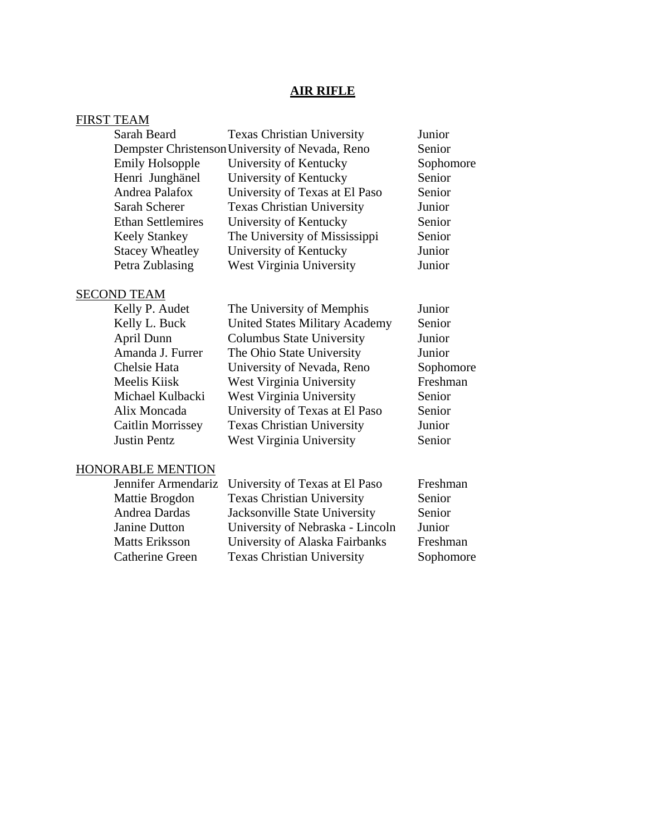# **AIR RIFLE**

| <b>FIRST TEAM</b>        |                                                 |           |
|--------------------------|-------------------------------------------------|-----------|
| Sarah Beard              | <b>Texas Christian University</b>               | Junior    |
|                          | Dempster Christenson University of Nevada, Reno | Senior    |
| <b>Emily Holsopple</b>   | University of Kentucky                          | Sophomore |
| Henri Junghänel          | University of Kentucky                          | Senior    |
| Andrea Palafox           | University of Texas at El Paso                  | Senior    |
| Sarah Scherer            | <b>Texas Christian University</b>               | Junior    |
| <b>Ethan Settlemires</b> | University of Kentucky                          | Senior    |
| <b>Keely Stankey</b>     | The University of Mississippi                   | Senior    |
| <b>Stacey Wheatley</b>   | University of Kentucky                          | Junior    |
| Petra Zublasing          | West Virginia University                        | Junior    |
| <b>SECOND TEAM</b>       |                                                 |           |
| Kelly P. Audet           | The University of Memphis                       | Junior    |
| Kelly L. Buck            | <b>United States Military Academy</b>           | Senior    |
| April Dunn               | <b>Columbus State University</b>                | Junior    |
| Amanda J. Furrer         | The Ohio State University                       | Junior    |
| Chelsie Hata             | University of Nevada, Reno                      | Sophomore |
| Meelis Kiisk             | West Virginia University                        | Freshman  |
| Michael Kulbacki         | West Virginia University                        | Senior    |
| Alix Moncada             | University of Texas at El Paso                  | Senior    |
| <b>Caitlin Morrissey</b> | <b>Texas Christian University</b>               | Junior    |
| <b>Justin Pentz</b>      | West Virginia University                        | Senior    |
| <b>HONORABLE MENTION</b> |                                                 |           |
| Jennifer Armendariz      | University of Texas at El Paso                  | Freshman  |
| Mattie Brogdon           | <b>Texas Christian University</b>               | Senior    |
| Andrea Dardas            | Jacksonville State University                   | Senior    |
| <b>Janine Dutton</b>     | University of Nebraska - Lincoln                | Junior    |
| <b>Matts Eriksson</b>    | University of Alaska Fairbanks                  | Freshman  |
| <b>Catherine Green</b>   | <b>Texas Christian University</b>               | Sophomore |
|                          |                                                 |           |